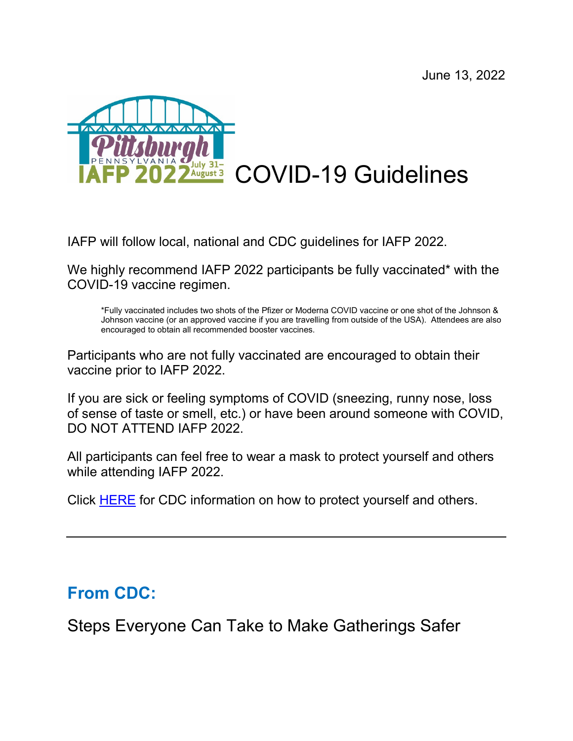

IAFP will follow local, national and CDC guidelines for IAFP 2022.

We highly recommend IAFP 2022 participants be fully vaccinated\* with the COVID-19 vaccine regimen.

\*Fully vaccinated includes two shots of the Pfizer or Moderna COVID vaccine or one shot of the Johnson & Johnson vaccine (or an approved vaccine if you are travelling from outside of the USA). Attendees are also encouraged to obtain all recommended booster vaccines.

Participants who are not fully vaccinated are encouraged to obtain their vaccine prior to IAFP 2022.

If you are sick or feeling symptoms of COVID (sneezing, runny nose, loss of sense of taste or smell, etc.) or have been around someone with COVID, DO NOT ATTEND IAFP 2022.

All participants can feel free to wear a mask to protect yourself and others while attending IAFP 2022.

Click [HERE](https://www.cdc.gov/coronavirus/2019-ncov/prevent-getting-sick/prevention.html) for CDC information on how to protect yourself and others.

## **From CDC:**

Steps Everyone Can Take to Make Gatherings Safer